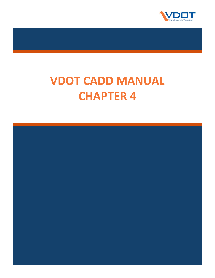

# **VDOT CADD MANUAL CHAPTER 4**

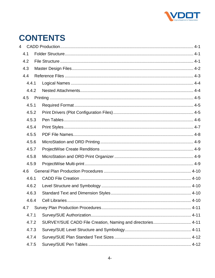

# **CONTENTS**

| 4 |       |                                                            |  |
|---|-------|------------------------------------------------------------|--|
|   | 4.1   |                                                            |  |
|   | 4.2   |                                                            |  |
|   | 4.3   |                                                            |  |
|   | 4.4   |                                                            |  |
|   | 4.4.1 |                                                            |  |
|   | 4.4.2 |                                                            |  |
|   | 4.5   |                                                            |  |
|   | 4.5.1 |                                                            |  |
|   | 4.5.2 |                                                            |  |
|   | 4.5.3 |                                                            |  |
|   | 4.5.4 |                                                            |  |
|   | 4.5.5 |                                                            |  |
|   | 4.5.6 |                                                            |  |
|   | 4.5.7 |                                                            |  |
|   | 4.5.8 |                                                            |  |
|   | 4.5.9 |                                                            |  |
|   | 4.6   |                                                            |  |
|   | 4.6.1 |                                                            |  |
|   | 4.6.2 |                                                            |  |
|   | 4.6.3 |                                                            |  |
|   | 464   |                                                            |  |
|   | 4.7   |                                                            |  |
|   | 4.7.1 |                                                            |  |
|   | 4.7.2 | SURVEY/SUE CADD File Creation, Naming and directories 4-11 |  |
|   | 4.7.3 |                                                            |  |
|   | 4.7.4 |                                                            |  |
|   | 4.7.5 |                                                            |  |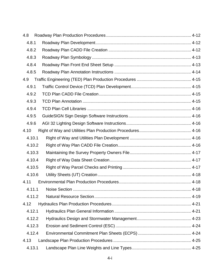| 4.8  |        |  |
|------|--------|--|
|      | 4.8.1  |  |
|      | 4.8.2  |  |
|      | 4.8.3  |  |
|      | 4.8.4  |  |
|      | 4.8.5  |  |
| 4.9  |        |  |
|      | 4.9.1  |  |
|      | 4.9.2  |  |
|      | 4.9.3  |  |
|      | 4.9.4  |  |
|      | 4.9.5  |  |
|      | 4.9.6  |  |
| 4.10 |        |  |
|      | 4.10.1 |  |
|      | 4.10.2 |  |
|      | 4.10.3 |  |
|      | 4.10.4 |  |
|      | 4.10.5 |  |
|      | 4.10.6 |  |
| 4.11 |        |  |
|      | 4.11.1 |  |
|      | 4.11.2 |  |
| 4.12 |        |  |
|      | 4.12.1 |  |
|      | 4.12.2 |  |
|      | 4.12.3 |  |
|      | 4.12.4 |  |
| 4.13 |        |  |
|      | 4.13.1 |  |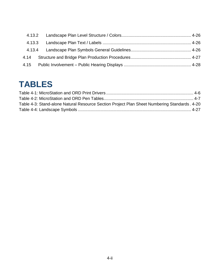# **TABLES**

| Table 4-3: Stand-alone Natural Resource Section Project Plan Sheet Numbering Standards. 4-20 |  |
|----------------------------------------------------------------------------------------------|--|
|                                                                                              |  |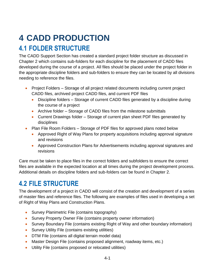# <span id="page-4-0"></span>**4 CADD PRODUCTION**

# <span id="page-4-1"></span>**4.1 FOLDER STRUCTURE**

The CADD Support Section has created a standard project folder structure as discussed in Chapter 2 which contains sub-folders for each discipline for the placement of CADD files developed during the course of a project. All files should be placed under the project folder in the appropriate discipline folders and sub-folders to ensure they can be located by all divisions needing to reference the files.

- Project Folders Storage of all project related documents including current project CADD files, archived project CADD files, and current PDF files
	- Discipline folders Storage of current CADD files generated by a discipline during the course of a project
	- Archive folder Storage of CADD files from the milestone submittals
	- Current Drawings folder Storage of current plan sheet PDF files generated by disciplines
- Plan File Room Folders Storage of PDF files for approved plans noted below
	- Approved Right of Way Plans for property acquisitions including approval signature and revisions
	- Approved Construction Plans for Advertisements including approval signatures and revisions

Care must be taken to place files in the correct folders and subfolders to ensure the correct files are available in the expected location at all times during the project development process. Additional details on discipline folders and sub-folders can be found in Chapter 2.

# <span id="page-4-2"></span>**4.2 FILE STRUCTURE**

The development of a project in CADD will consist of the creation and development of a series of master files and reference files. The following are examples of files used in developing a set of Right of Way Plans and Construction Plans.

- Survey Planimetric File (contains topography)
- Survey Property Owner File (contains property owner information)
- Survey Boundary File (contains existing Right of Way and other boundary information)
- Survey Utility File (contains existing utilities)
- DTM File (contains all digital terrain model data)
- Master Design File (contains proposed alignment, roadway items, etc.)
- Utility File (contains proposed or relocated utilities)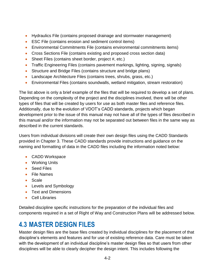- Hydraulics File (contains proposed drainage and stormwater management)
- ESC File (contains erosion and sediment control items)
- Environmental Commitments File (contains environmental commitments items)
- Cross Sections File (contains existing and proposed cross section data)
- Sheet Files (contains sheet border, project #, etc.)
- Traffic Engineering Files (contains pavement markings, lighting, signing, signals)
- Structure and Bridge Files (contains structure and bridge plans)
- Landscape Architecture Files (contains trees, shrubs, grass, etc.)
- Environmental Files (contains soundwalls, wetland mitigation, stream restoration)

The list above is only a brief example of the files that will be required to develop a set of plans. Depending on the complexity of the project and the disciplines involved, there will be other types of files that will be created by users for use as both master files and reference files. Additionally, due to the evolution of VDOT's CADD standards, projects which began development prior to the issue of this manual may not have all of the types of files described in this manual and/or the information may not be separated out between files in the same way as described in the current standards.

Users from individual divisions will create their own design files using the CADD Standards provided in Chapter 3. These CADD standards provide instructions and guidance on the naming and formatting of data in the CADD files including the information noted below:

- CADD Workspace
- Working Units
- Seed Files
- File Names
- Scale
- Levels and Symbology
- Text and Dimensions
- Cell Libraries

Detailed discipline specific instructions for the preparation of the individual files and components required in a set of Right of Way and Construction Plans will be addressed below.

# <span id="page-5-0"></span>**4.3 MASTER DESIGN FILES**

Master design files are the base files created by individual disciplines for the placement of that discipline's elements and features and for use of existing reference data. Care must be taken with the development of an individual discipline's master design files so that users from other disciplines will be able to clearly decipher the design intent. This includes following the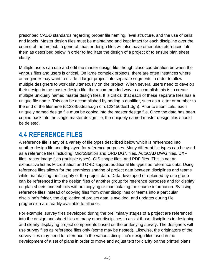prescribed CADD standards regarding proper file naming, level structure, and the use of cells and labels. Master design files must be maintained and kept intact for each discipline over the course of the project. In general, master design files will also have other files referenced into them as described below in order to facilitate the design of a project or to ensure plan sheet clarity.

Multiple users can use and edit the master design file, though close coordination between the various files and users is critical. On large complex projects, there are often instances where an engineer may want to divide a larger project into separate segments in order to allow multiple designers to work simultaneously on the project. When several users need to develop their design in the master design file, the recommended way to accomplish this is to create multiple uniquely named master design files. It is critical that each of these separate files has a unique file name. This can be accomplished by adding a qualifier, such as a letter or number to the end of the filename (d123456desa.dgn or d123456des1.dgn). Prior to submittals, each uniquely named design file must be copied into the master design file. Once the data has been copied back into the single master design file, the uniquely named master design files should be deleted.

# <span id="page-6-0"></span>**4.4 REFERENCE FILES**

A reference file is any of a variety of file types described below which is referenced into another design file and displayed for reference purposes. Many different file types can be used as a reference files including: MicroStation and ORD DGN files, AutoCAD DWG files, DXF files, raster image files (multiple types), GIS shape files, and PDF files. This is not an exhaustive list as MicroStation and ORD support additional file types as reference data. Using reference files allows for the seamless sharing of project data between disciplines and teams while maintaining the integrity of the project data. Data developed or obtained by one group can be referenced into the design files of another group for reference purposes and for display on plan sheets and exhibits without copying or manipulating the source information. By using reference files instead of copying files from other disciplines or teams into a particular discipline's folder, the duplication of project data is avoided, and updates during file progression are readily available to all user.

For example, survey files developed during the preliminary stages of a project are referenced into the design and sheet files of many other disciplines to assist those disciplines in designing and clearly displaying project components based on the underlying survey. The designers will use survey files as reference files only (some may be nested). Likewise, the originators of the survey files may need to reference in the various discipline's design files used in the development of a set of plans in order to move and adjust text for clarity on the printed plans.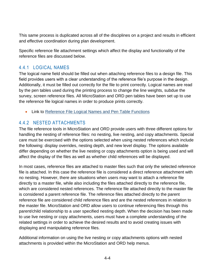This same process is duplicated across all of the disciplines on a project and results in efficient and effective coordination during plan development.

Specific reference file attachment settings which affect the display and functionality of the reference files are discussed below.

# <span id="page-7-0"></span>4.4.1 LOGICAL NAMES

The logical name field should be filled out when attaching reference files to a design file. This field provides users with a clear understanding of the reference file's purpose in the design. Additionally, it must be filled out correctly for the file to print correctly. Logical names are read by the pen tables used during the printing process to change the line weights, subdue the survey, screen reference files. All MicroStation and ORD pen tables have been set up to use the reference file logical names in order to produce prints correctly.

• Link to [Reference File Logical Names and Pen Table Functions](https://www.virginiadot.org/business/resources/LocDes/CADDManual/File/Logical_Names.xlsx)

### <span id="page-7-1"></span>4.4.2 NESTED ATTACHMENTS

The file reference tools in MicroStation and ORD provide users with three different options for handling the nesting of reference files: no nesting, live nesting, and copy attachments. Special care must be exercised with the options selected when using nested references which include the following: display overrides, nesting depth, and new level display. The options available differ depending on whether the live nesting or copy attachments option is being used and will affect the display of the files as well as whether child references will be displayed.

In most cases, reference files are attached to master files such that only the selected reference file is attached. In this case the reference file is considered a direct reference attachment with no nesting. However, there are situations when users may want to attach a reference file directly to a master file, while also including the files attached directly to the reference file, which are considered nested references. The reference file attached directly to the master file is considered a parent reference file. The reference files attached directly to the parent reference file are considered child reference files and are the nested references in relation to the master file. MicroStation and ORD allow users to continue referencing files through this parent/child relationship to a user specified nesting depth. When the decision has been made to use live nesting or copy attachments, users must have a complete understanding of the related settings in order to achieve the desired results and to avoid creating issues with displaying and manipulating reference files.

Additional information on using the live nesting or copy attachments options with nested attachments is provided within the MicroStation and ORD help menus.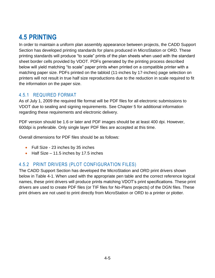# <span id="page-8-0"></span>**4.5 PRINTING**

In order to maintain a uniform plan assembly appearance between projects, the CADD Support Section has developed printing standards for plans produced in MicroStation or ORD. These printing standards will produce "to scale" prints of the plan sheets when used with the standard sheet border cells provided by VDOT. PDFs generated by the printing process described below will yield matching "to scale" paper prints when printed on a compatible printer with a matching paper size. PDFs printed on the tabloid (11-inches by 17-inches) page selection on printers will not result in true half size reproductions due to the reduction in scale required to fit the information on the paper size.

# <span id="page-8-1"></span>4.5.1 REQUIRED FORMAT

As of July 1, 2009 the required file format will be PDF files for all electronic submissions to VDOT due to sealing and signing requirements. See Chapter 5 for additional information regarding these requirements and electronic delivery.

PDF version should be 1.6 or later and PDF images should be at least 400 dpi. However, 600dpi is preferable. Only single layer PDF files are accepted at this time.

Overall dimensions for PDF files should be as follows:

- Full Size 23 inches by 35 inches
- $\bullet$  Half Size 11.5 inches by 17.5 inches

# <span id="page-8-2"></span>4.5.2 PRINT DRIVERS (PLOT CONFIGURATION FILES)

The CADD Support Section has developed the MicroStation and ORD print drivers shown below in [Table 4-1.](#page-9-1) When used with the appropriate pen table and the correct reference logical names, these print drivers will produce prints matching VDOT's print specifications. These print drivers are used to create PDF files (or TIF files for No-Plans projects) of the DGN files. These print drivers are not used to print directly from MicroStation or ORD to a printer or plotter.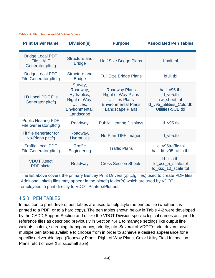#### <span id="page-9-1"></span>**Table [4-](#page-4-0)1: MicroStation and ORD Print Drivers**

| <b>Print Driver Name</b>                                        | <b>Division(s)</b>                                                                               | <b>Purpose</b>                                                                                                                      | <b>Associated Pen Tables</b>                                                                    |
|-----------------------------------------------------------------|--------------------------------------------------------------------------------------------------|-------------------------------------------------------------------------------------------------------------------------------------|-------------------------------------------------------------------------------------------------|
| <b>Bridge Local PDF</b><br><b>File HALF</b><br>Generator.pltcfg | Structure and<br><b>Bridge</b>                                                                   | <b>Half Size Bridge Plans</b>                                                                                                       | bhalf.tbl                                                                                       |
| <b>Bridge Local PDF</b><br><b>File Generator.pltcfg</b>         | <b>Structure and</b><br><b>Bridge</b>                                                            | <b>Full Size Bridge Plans</b>                                                                                                       | bfull.tbl                                                                                       |
| <b>LD Local PDF File</b><br>Generator.pltcfg                    | Survey,<br>Roadway,<br>Hydraulics,<br>Right of Way,<br>Utilities,<br>Environmental,<br>Landscape | <b>Roadway Plans</b><br><b>Right of Way Plans</b><br><b>Utilities Plans</b><br><b>Environmental Plans</b><br><b>Landscape Plans</b> | half_v95.tbl<br>$Id$ v95.tbl<br>rw_sheet.tbl<br>Id_v95_utilities_Color.tbl<br>Utilities-SUE.tbl |
| <b>Public Hearing PDF</b><br><b>File Generator.pltcfg</b>       | Roadway                                                                                          | <b>Public Hearing Displays</b>                                                                                                      | ld_v95.tbl                                                                                      |
| Tif file generator for<br>No-Plans.pltcfg                       | Roadway,<br><b>Hydraulics</b>                                                                    | No-Plan TIFF Images                                                                                                                 | $Id$ $v95$ .tbl                                                                                 |
| <b>Traffic Local PDF</b><br><b>File Generator.pltcfg</b>        | <b>Traffic</b><br>Engineering                                                                    | <b>Traffic Plans</b>                                                                                                                | Id_v95traffic.tbl<br>half_ld_v95traffic.tbl                                                     |
| <b>VDOT Xsect</b><br>PDF.pltcfg                                 | Roadway                                                                                          | <b>Cross Section Sheets</b>                                                                                                         | ld xsc.tbl<br>ld_xsc_5_scale.tbl<br>ld_xsc_10_scale.tbl                                         |

The list above covers the primary Bentley Print Drivers (.pltcfg files) used to create PDF files. Additional .pltcfg files may appear in the plotcfg folder(s) which are used by VDOT employees to print directly to VDOT Printers/Plotters.

#### <span id="page-9-0"></span>4.5.3 PEN TABLES

In addition to print drivers, pen tables are used to help style the printed file (whether it is printed to a PDF, or to a hard copy). The pen tables shown below in [Table 4-2](#page-10-1) were developed by the CADD Support Section and utilize the VDOT Division specific logical names assigned to reference files as described previously in Section [4.4.1](#page-7-0) to manage settings like output line weights, colors, screening, transparency, priority, etc. Several of VDOT's print drivers have multiple pen tables available to choose from in order to achieve a desired appearance for a specific deliverable type (Roadway Plans, Right of Way Plans, Color Utility Field Inspection Plans, etc.) or size (full size/half size).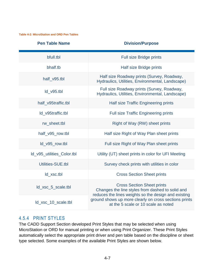<span id="page-10-1"></span>**Table [4-](#page-4-0)2: MicroStation and ORD Pen Tables**

|  | <b>Pen Table Name</b> |
|--|-----------------------|
|  |                       |

### **Pivision/Purpose**

| bfull.tbl                  | <b>Full size Bridge prints</b>                                                                                                                |
|----------------------------|-----------------------------------------------------------------------------------------------------------------------------------------------|
| bhalf.tb                   | Half size Bridge prints                                                                                                                       |
| half v95.tbl               | Half size Roadway prints (Survey, Roadway,<br>Hydraulics, Utilities, Environmental, Landscape)                                                |
| ld v95.tbl                 | Full size Roadway prints (Survey, Roadway,<br>Hydraulics, Utilities, Environmental, Landscape)                                                |
| half_v95traffic.tbl        | Half size Traffic Engineering prints                                                                                                          |
| Id v95traffic.tbl          | <b>Full size Traffic Engineering prints</b>                                                                                                   |
| rw_sheet.tbl               | Right of Way (RW) sheet prints                                                                                                                |
| half_v95_row.tbl           | Half size Right of Way Plan sheet prints                                                                                                      |
| ld_v95_row.tbl             | Full size Right of Way Plan sheet prints                                                                                                      |
| Id_v95_utilities_Color.tbl | Utility (UT) sheet prints in color for UFI Meeting                                                                                            |
| Utilities-SUE.tbl          | Survey check prints with utilities in color                                                                                                   |
| ld xsc.tbl                 | <b>Cross Section Sheet prints</b>                                                                                                             |
| ld_xsc_5_scale.tbl         | <b>Cross Section Sheet prints</b><br>Changes the line styles from dashed to solid and<br>reduces the lines weights so the design and existing |
| ld_xsc_10_scale.tbl        | ground shows up more clearly on cross sections prints<br>at the 5 scale or 10 scale as noted                                                  |

#### <span id="page-10-0"></span>4.5.4 PRINT STYLES

The CADD Support Section developed Print Styles that may be selected when using MicroStation or ORD for manual printing or when using Print Organizer. These Print Styles automatically select the appropriate print driver and pen table based on the discipline or sheet type selected. Some examples of the available Print Styles are shown below.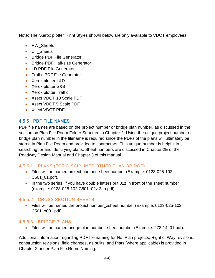Note: The "Xerox plotter" Print Styles shown below are only available to VDOT employees.

- RW\_Sheets
- UT\_Sheets
- **Bridge PDF File Generator**
- Bridge PDF Half-size Generator
- **.** ID PDF File Generator
- **•** Traffic PDF File Generator
- Xerox plotter L&D
- Xerox plotter S&B
- Xerox plotter Traffic
- Xsect VDOT 10 Scale PDF
- Xsect VDOT 5 Scale PDF
- Xsect VDOT PDF

# <span id="page-11-0"></span>4.5.5 PDF FILE NAMES

PDF file names are based on the project number or bridge plan number, as discussed in the section on Plan File Room Folder Structure in Chapter 2. Using the unique project number or bridge plan number in the filename is required since the PDFs of the plans will ultimately be stored in Plan File Room and provided to contractors. This unique number is helpful in searching for and identifying plans. Sheet numbers are discussed in Chapter 2E of the Roadway Design Manual and Chapter 3 of this manual.

#### 4.5.5.1 PLANS (FOR DISCIPLINES OTHER THAN BRIDGE)

- Files will be named project number\_sheet number (Example: 0123-025-102 C501\_01.pdf).
- In the two series, if you have double letters put 02z in front of the sheet number (example: 0123-025-102 C501\_02z 2aa.pdf).

#### 4.5.5.2 CROSS SECTION SHEETS

• Files will be named the project number xsheet number (Example: 0123-025-102) C501\_x001.pdf).

#### 4.5.5.3 BRIDGE PLANS

Files will be named bridge plan number\_sheet number (Example: 278-14\_01.pdf).

Additional information regarding PDF file naming for No–Plan projects, Right of Way revisions, construction revisions, field changes, as builts, and Plats (where applicable) is provided in Chapter 2 under Plan File Room Naming.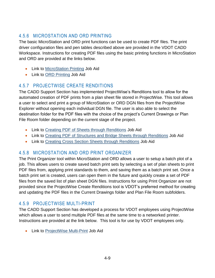# <span id="page-12-0"></span>4.5.6 MICROSTATION AND ORD PRINTING

The basic MicroStation and ORD print functions can be used to create PDF files. The print driver configuration files and pen tables described above are provided in the VDOT CADD Workspace. Instructions for creating PDF files using the basic printing functions in MicroStation and ORD are provided at the links below.

- Link to [MicroStation Printing](https://www.virginiadot.org/business/resources/LocDes/CADDManual/File/MicroStation_Printing.pdf) Job Aid
- Link to ORD [Printing](https://www.virginiadot.org/business/resources/LocDes/JobAids/OpenRoads_Designer/ORD_Printing.pdf) Job Aid

# <span id="page-12-1"></span>4.5.7 PROJECTWISE CREATE RENDITIONS

The CADD Support Section has implemented ProjectWise's Renditions tool to allow for the automated creation of PDF prints from a plan sheet file stored in ProjectWise. This tool allows a user to select and print a group of MicroStation or ORD DGN files from the ProjectWise Explorer without opening each individual DGN file. The user is also able to select the destination folder for the PDF files with the choice of the project's Current Drawings or Plan File Room folder depending on the current stage of the project.

- Link to [Creating PDF of Sheets through Renditions](https://www.virginiadot.org/business/resources/LocDes/JobAids/PW/Creating_Renditions_Creating_PDF_Sheets.pdf) Job Aid
- Link to [Creating PDF of Structures and Bridge Sheets through Renditions](https://www.virginiadot.org/business/resources/LocDes/JobAids/PW/Creating_Renditions_Bridge_PDF_Sheets.pdf) Job Aid
- Link to [Creating Cross Section Sheets through Renditions](https://www.virginiadot.org/business/resources/LocDes/JobAids/PW/Creating_Renditions_Creating_PDF_Cross_Sections.pdf) Job Aid

# <span id="page-12-2"></span>4.5.8 MICROSTATION AND ORD PRINT ORGANIZER

The Print Organizer tool within MicroStation and ORD allows a user to setup a batch plot of a job. This allows users to create saved batch print sets by selecting a set of plan sheets to print PDF files from, applying print standards to them, and saving them as a batch print set. Once a batch print set is created, users can open them in the future and quickly create a set of PDF files from the saved list of plan sheet DGN files. Instructions for using Print Organizer are not provided since the ProjectWise Create Renditions tool is VDOT's preferred method for creating and updating the PDF files in the Current Drawings folder and Plan File Room subfolders.

# <span id="page-12-3"></span>4.5.9 PROJECTWISE MULTI-PRINT

The CADD Support Section has developed a process for VDOT employees using ProjectWise which allows a user to send multiple PDF files at the same time to a networked printer. Instructions are provided at the link below. This tool is for use by VDOT employees only.

Link to [ProjectWise Multi-Print](https://www.virginiadot.org/business/resources/LocDes/JobAids/PW/VDOT_Multiprint.pdf) Job Aid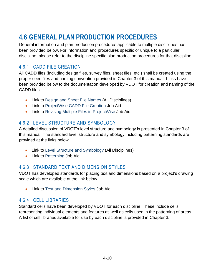# <span id="page-13-0"></span>**4.6 GENERAL PLAN PRODUCTION PROCEDURES**

General information and plan production procedures applicable to multiple disciplines has been provided below. For information and procedures specific or unique to a particular discipline, please refer to the discipline specific plan production procedures for that discipline.

# <span id="page-13-1"></span>4.6.1 CADD FILE CREATION

All CADD files (including design files, survey files, sheet files, etc.) shall be created using the proper seed files and naming convention provided in Chapter 3 of this manual. Links have been provided below to the documentation developed by VDOT for creation and naming of the CADD files.

- Link to [Design and Sheet File Names](https://www.virginiadot.org/business/resources/LocDes/CADDManual/File/Design_and_Sheet_File_Names.xlsx) (All Disciplines)
- Link to [ProjectWise CADD File Creation](http://www.virginiadot.org/business/resources/LocDes/JobAids/PW/ProjectWise_Opening_Creating_Documents_via_Microstation.pdf) Job Aid
- Link to [Revising Multiple Files in ProjectWise](https://www.virginiadot.org/business/resources/LocDes/JobAids/PW/Revising_Multiple_CADD_Files.pdf) Job Aid

# <span id="page-13-2"></span>4.6.2 LEVEL STRUCTURE AND SYMBOLOGY

A detailed discussion of VDOT's level structure and symbology is presented in Chapter 3 of this manual. The standard level structure and symbology including patterning standards are provided at the links below.

- Link to [Level Structure and Symbology](https://www.virginiadot.org/business/resources/LocDes/CADDManual/File/MicroStation_Levels.xlsx) (All Disciplines)
- Link to [Patterning](https://www.virginiadot.org/business/resources/LocDes/CADDManual/File/Patterning.pdf) Job Aid

# <span id="page-13-3"></span>4.6.3 STANDARD TEXT AND DIMENSION STYLES

VDOT has developed standards for placing text and dimensions based on a project's drawing scale which are available at the link below.

Link to [Text and Dimension Styles](https://www.virginiadot.org/business/resources/LocDes/CADDManual/File/How_to_Use_Text_and_Dimension_Styles.pdf) Job Aid

# <span id="page-13-4"></span>4.6.4 CELL LIBRARIES

Standard cells have been developed by VDOT for each discipline. These include cells representing individual elements and features as well as cells used in the patterning of areas. A list of cell libraries available for use by each discipline is provided in Chapter 3.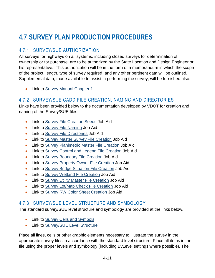# <span id="page-14-0"></span>**4.7 SURVEY PLAN PRODUCTION PROCEDURES**

# <span id="page-14-1"></span>4.7.1 SURVEY/SUE AUTHORIZATION

All surveys for highways on all systems, including closed surveys for determination of ownership or for purchase, are to be authorized by the State Location and Design Engineer or his representative. This authorization will be in the form of a memorandum in which the scope of the project, length, type of survey required, and any other pertinent data will be outlined. Supplemental data, made available to assist in performing the survey, will be furnished also.

• Link to [Survey Manual Chapter 1](http://www.virginiadot.org/business/resources/LocDes/SurveyManual/Chapter1.pdf)

# <span id="page-14-2"></span>4.7.2 SURVEY/SUE CADD FILE CREATION, NAMING AND DIRECTORIES

Links have been provided below to the documentation developed by VDOT for creation and naming of the Survey/SUE files.

- Link to [Survey File Creation Seeds](https://www.virginiadot.org/business/resources/LocDes/CADDManual/File/Survey_Files_Creation_Seeds.pdf) Job Aid
- Link to [Survey File Naming](https://www.virginiadot.org/business/resources/LocDes/CADDManual/File/Survey_File_Naming.pdf) Job Aid
- Link to [Survey File Directories](https://www.virginiadot.org/business/resources/LocDes/CADDManual/File/Survey_Files_Directories.pdf) Job Aid
- Link to [Survey Master Survey File Creation](https://www.virginiadot.org/business/resources/LocDes/CADDManual/File/Survey_Master.pdf) Job Aid
- Link to [Survey Planimetric Master File Creation](https://www.virginiadot.org/business/resources/LocDes/CADDManual/File/Survey_Planimetric.pdf) Job Aid
- Link to [Survey Control and Legend File Creation](https://www.virginiadot.org/business/resources/LocDes/CADDManual/File/Survey_Control.pdf) Job Aid
- Link to [Survey Boundary File Creation](https://www.virginiadot.org/business/resources/LocDes/CADDManual/File/Survey_Boundary.pdf) Job Aid
- Link to [Survey Property Owner File Creation](https://www.virginiadot.org/business/resources/LocDes/CADDManual/File/Survey_Property_Owner.pdf) Job Aid
- Link to [Survey Bridge Situation File Creation](https://www.virginiadot.org/business/resources/LocDes/CADDManual/File/Survey_Bridge_Situation.pdf) Job Aid
- Link to [Survey Wetland File Creation](https://www.virginiadot.org/business/resources/LocDes/CADDManual/File/Survey_Wetlands.pdf) Job Aid
- Link to [Survey Utility Master File Creation](https://www.virginiadot.org/business/resources/LocDes/CADDManual/File/Survey_Utility.pdf) Job Aid
- Link to [Survey Lot/Map Check File Creation](https://www.virginiadot.org/business/resources/LocDes/CADDManual/File/Survey_Lot_Map_Check.pdf) Job Aid
- Link to [Survey RW Color Sheet Creation](https://www.virginiadot.org/business/resources/LocDes/CADDManual/File/Survey_RW_Color_Sheet.pdf) Job Aid

# <span id="page-14-3"></span>4.7.3 SURVEY/SUE LEVEL STRUCTURE AND SYMBOLOGY

The standard survey/SUE level structure and symbology are provided at the links below.

- Link to [Survey Cells and Symbols](https://www.virginiadot.org/business/resources/LocDes/CADDManual/File/Survey_Cells_and_Symbols.pdf)
- Link to [Survey/SUE Level Structure](https://www.virginiadot.org/business/resources/LocDes/CADDManual/File/Survey_Level_Structure.pdf)

Place all lines, cells or other graphic elements necessary to illustrate the survey in the appropriate survey files in accordance with the standard level structure. Place all items in the file using the proper levels and symbology (including ByLevel settings where possible). The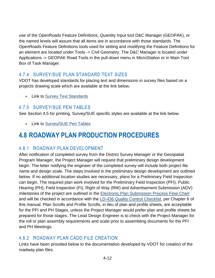use of the OpenRoads Feature Definitions, Quantity Input tool D&C Manager (GEOPAK), or the named levels will assure that all items are in accordance with those standards. The OpenRoads Feature Definitions tools used for setting and modifying the Feature Definitions for an element are located under Tools -> Civil Geometry. The D&C Manager is located under Applications -> GEOPAK Road Tools in the pull-down menu in MicroStation or in Main Tool Box of Task Manager.

# <span id="page-15-0"></span>4.7.4 SURVEY/SUE PLAN STANDARD TEXT SIZES

VDOT has developed standards for placing text and dimensions in survey files based on a projects drawing scale which are available at the link below.

• Link to [Survey Text Standards](https://www.virginiadot.org/business/resources/LocDes/CADDManual/File/Survey_Text_Standards.pdf)

# <span id="page-15-1"></span>4.7.5 SURVEY/SUE PEN TABLES

See Section [4.5](#page-8-0) for printing. Survey/SUE specific styles are available at the link below.

• Link to [Survey/SUE Pen Tables](https://www.virginiadot.org/business/resources/LocDes/CADDManual/File/Survey_SUE_Pen_Tables.pdf)

# <span id="page-15-2"></span>**4.8 ROADWAY PLAN PRODUCTION PROCEDURES**

# <span id="page-15-3"></span>4.8.1 ROADWAY PLAN DEVELOPMENT

After notification of completed survey from the District Survey Manager or the Geospatial Program Manager, the Project Manager will request that preliminary design development begin. The letter notifying the engineer of the completed survey will include both project file name and design scale. The steps involved in the preliminary design development are outlined below. If no additional location studies are necessary, plans for a Preliminary Field Inspection can begin. The required plan work involved for the Preliminary Field Inspection (PFI), Public Hearing (PH), Field Inspection (FI), Right of Way (RW) and Advertisement Submission (ADV) milestones of the project are outlined in the [Electronic Plan Submission Process Flow Chart](http://www.extranet.vdot.state.va.us/locdes/ElectronicPlan_Submission.pdf) and will be checked in accordance with the [LD-436 Quality Control Checklist,](http://vdotforms.vdot.virginia.gov/SearchResults.aspx?strFormNumber=LD-436) per Chapter 6 of this manual. Plan Scrolls and Profile Scrolls, in lieu of plan and profile sheets, are acceptable for the PFI and PH Stages, unless the Project Manager would prefer plan and profile sheets be prepared for those stages. The Lead Design Engineer is to check with the Project Manager for the roll or plan assembly requirements and scale prior to assembling documents for the PFI and PH Meetings.

# <span id="page-15-4"></span>4.8.2 ROADWAY PLAN CADD FILE CREATION

Links have been provided below to the documentation developed by VDOT for creation of the roadway plan files.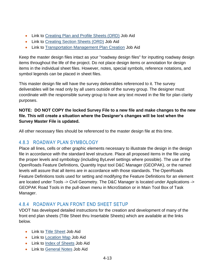- Link to [Creating Plan and Profile Sheets \(ORD\)](https://www.virginiadot.org/business/resources/LocDes/OpenRoads/VDOT_Drawing_Production_Creating_Plan_and_Profile_Sheets.pdf) Job Aid
- Link to [Creating Section Sheets \(ORD\)](https://www.virginiadot.org/business/resources/LocDes/OpenRoads/VDOT_Drawing_Production_Creating_Cross_Section_Sheets.pdf) Job Aid
- Link to Transportation [Management Plan Creation](https://www.virginiadot.org/business/resources/LocDes/CADDManual/File/Transportation_Management_Plan.pdf) Job Aid

Keep the master design files intact as your "roadway design files" for inputting roadway design items throughout the life of the project. Do not place design items or annotation for design items in the individual sheet files. However, notes, special symbols, reference notations, and symbol legends can be placed in sheet files.

This master design file will have the survey deliverables referenced to it. The survey deliverables will be read only by all users outside of the survey group. The designer must coordinate with the responsible survey group to have any text moved in the file for plan clarity purposes.

#### **NOTE: DO NOT COPY the locked Survey File to a new file and make changes to the new file. This will create a situation where the Designer's changes will be lost when the Survey Master File is updated.**

All other necessary files should be referenced to the master design file at this time.

# <span id="page-16-0"></span>4.8.3 ROADWAY PLAN SYMBOLOGY

Place all lines, cells or other graphic elements necessary to illustrate the design in the design file in accordance with the standard level structure. Place all proposed items in the file using the proper levels and symbology (including ByLevel settings where possible). The use of the OpenRoads Feature Definitions, Quantity Input tool D&C Manager (GEOPAK), or the named levels will assure that all items are in accordance with those standards. The OpenRoads Feature Definitions tools used for setting and modifying the Feature Definitions for an element are located under Tools -> Civil Geometry. The D&C Manager is located under Applications -> GEOPAK Road Tools in the pull-down menu in MicroStation or in Main Tool Box of Task Manager.

# <span id="page-16-1"></span>4.8.4 ROADWAY PLAN FRONT END SHEET SETUP

VDOT has developed detailed instructions for the creation and development of many of the front end plan sheets (Title Sheet thru Insertable Sheets) which are available at the links below.

- Link to [Title Sheet](https://www.virginiadot.org/business/resources/LocDes/CADDManual/File/Title_Sheet_Creation.pdf) Job Aid
- Link to [Location Map](https://www.virginiadot.org/business/resources/LocDes/CADDManual/File/Location_Map_Creation.pdf) Job Aid
- Link to [Index of Sheets](https://www.virginiadot.org/business/resources/LocDes/CADDManual/File/Index_of_Sheets_Creation.pdf) Job Aid
- Link to [General Notes](https://www.virginiadot.org/business/resources/LocDes/CADDManual/File/General_Notes_Sheet_Creation.pdf) Job Aid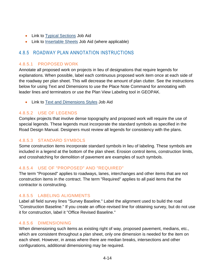- Link to [Typical Sections](https://www.virginiadot.org/business/resources/LocDes/CADDManual/File/Creating_Typical_Sections.pdf) Job Aid
- Link to [Insertable Sheets](https://www.virginiadot.org/business/resources/LocDes/CADDManual/File/Insertable_Sheets.pdf) Job Aid (where applicable)

### <span id="page-17-0"></span>4.8.5 ROADWAY PLAN ANNOTATION INSTRUCTIONS

#### 4.8.5.1 PROPOSED WORK

Annotate all proposed work on projects in lieu of designations that require legends for explanations. When possible, label each continuous proposed work item once at each side of the roadway per plan sheet. This will decrease the amount of plan clutter. See the instructions below for using Text and Dimensions to use the Place Note Command for annotating with leader lines and terminators or use the Plan View Labeling tool in GEOPAK.

• Link to [Text and Dimensions Styles](https://www.virginiadot.org/business/resources/LocDes/CADDManual/File/How_to_Use_Text_and_Dimension_Styles.pdf) Job Aid

#### 4.8.5.2 USE OF LEGENDS

Complex projects that involve dense topography and proposed work will require the use of special legends. These legends must incorporate the standard symbols as specified in the Road Design Manual. Designers must review all legends for consistency with the plans.

#### 4.8.5.3 STANDARD SYMBOLS

Some construction items incorporate standard symbols in lieu of labeling. These symbols are included in a legend at the bottom of the plan sheet. Erosion control items, construction limits, and crosshatching for demolition of pavement are examples of such symbols.

#### 4.8.5.4 USE OF "PROPOSED" AND "REQUIRED"

The term "Proposed" applies to roadways, lanes, interchanges and other items that are not construction items in the contract. The term "Required" applies to all paid items that the contractor is constructing.

#### 4.8.5.5 LABELING ALIGNMENTS

Label all field survey lines "Survey Baseline." Label the alignment used to build the road "Construction Baseline." If you create an office-revised line for obtaining survey, but do not use it for construction, label it "Office Revised Baseline."

#### 4.8.5.6 DIMENSIONING

When dimensioning such items as existing right of way, proposed pavement, medians, etc., which are consistent throughout a plan sheet, only one dimension is needed for the item on each sheet. However, in areas where there are median breaks, intersections and other configurations, additional dimensioning may be required.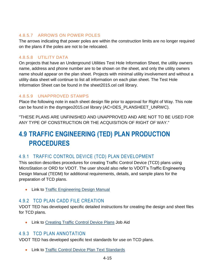#### 4.8.5.7 ARROWS ON POWER POLES

The arrows indicating that power poles are within the construction limits are no longer required on the plans if the poles are not to be relocated.

#### 4.8.5.8 UTILITY DATA

On projects that have an Underground Utilities Test Hole Information Sheet, the utility owners name, address and phone number are to be shown on the sheet, and only the utility owners name should appear on the plan sheet. Projects with minimal utility involvement and without a utility data sheet will continue to list all information on each plan sheet. The Test Hole Information Sheet can be found in the sheet2015.cel cell library.

### 4.8.5.9 UNAPPROVED STAMPS

Place the following note in each sheet design file prior to approval for Right of Way. This note can be found in the dsymgeo2015.cel library (AC=DES\_PLANSHEET\_UNRWC).

"THESE PLANS ARE UNFINISHED AND UNAPPROVED AND ARE NOT TO BE USED FOR ANY TYPE OF CONSTRUCTION OR THE ACQUISITION OF RIGHT OF WAY."

# <span id="page-18-0"></span>**4.9 TRAFFIC ENGINEERING (TED) PLAN PRODUCTION PROCEDURES**

# <span id="page-18-1"></span>4.9.1 TRAFFIC CONTROL DEVICE (TCD) PLAN DEVELOPMENT

This section describes procedures for creating Traffic Control Device (TCD) plans using MicroStation or ORD for VDOT. The user should also refer to VDOT's Traffic Engineering Design Manual (TEDM) for additional requirements, details, and sample plans for the preparation of TCD plans.

**• Link to [Traffic Engineering Design Manual](http://www.virginiadot.org/business/locdes/traffic-engineering-manual.asp)** 

# <span id="page-18-2"></span>4.9.2 TCD PLAN CADD FILE CREATION

VDOT TED has developed specific detailed instructions for creating the design and sheet files for TCD plans.

• Link to [Creating Traffic Control Device Plans](https://www.virginiadot.org/business/resources/LocDes/CADDManual/File/TCD_Plan_CADD_File_Creation.pdf) Job Aid

### <span id="page-18-3"></span>4.9.3 TCD PLAN ANNOTATION

VDOT TED has developed specific text standards for use on TCD plans.

Link to [Traffic Control Device Plan Text Standards](https://www.virginiadot.org/business/resources/LocDes/CADDManual/File/TCD_Plan_Standard_Text_Sizes.pdf)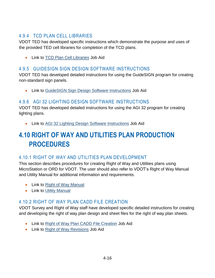# <span id="page-19-0"></span>4.9.4 TCD PLAN CELL LIBRARIES

VDOT TED has developed specific instructions which demonstrate the purpose and uses of the provided TED cell libraries for completion of the TCD plans.

Link to [TCD Plan Cell Libraries](https://www.virginiadot.org/business/resources/LocDes/CADDManual/File/TCD_Plan_Cell_Libraries.pdf) Job Aid

# <span id="page-19-1"></span>4.9.5 GUIDESIGN SIGN DESIGN SOFTWARE INSTRUCTIONS

VDOT TED has developed detailed instructions for using the GuideSIGN program for creating non-standard sign panels.

Link to [GuideSIGN Sign Design Software Instructions](https://www.virginiadot.org/business/resources/LocDes/CADDManual/File/GuideSIGN_Sign_Des_Software_Instr.pdf) Job Aid

# <span id="page-19-2"></span>4.9.6 AGI 32 LIGHTING DESIGN SOFTWARE INSTRUCTIONS

VDOT TED has developed detailed instructions for using the AGI 32 program for creating lighting plans.

Link to [AGI 32 Lighting Design Software Instructions](https://www.virginiadot.org/business/resources/LocDes/CADDManual/File/AGI_32_Lighting_Des_Software_Instr.pdf) Job Aid

# <span id="page-19-3"></span>**4.10 RIGHT OF WAY AND UTILITIES PLAN PRODUCTION PROCEDURES**

# <span id="page-19-4"></span>4.10.1 RIGHT OF WAY AND UTILITIES PLAN DEVELOPMENT

This section describes procedures for creating Right of Way and Utilities plans using MicroStation or ORD for VDOT. The user should also refer to VDOT's Right of Way Manual and Utility Manual for additional information and requirements.

- Link to [Right of Way Manual](http://www.virginiadot.org/business/resources/Right_of_way/RW-Manual.pdf)
- Link to [Utility Manual](http://www.virginiadot.org/business/resources/Right_of_way/Utility_Manual10012014.pdf)

# <span id="page-19-5"></span>4.10.2 RIGHT OF WAY PLAN CADD FILE CREATION

VDOT Survey and Right of Way staff have developed specific detailed instructions for creating and developing the right of way plan design and sheet files for the right of way plan sheets.

- Link to [Right of Way Plan CADD File Creation](https://www.virginiadot.org/business/resources/LocDes/CADDManual/File/RW_Plan_CADD_File_Creation.pdf) Job Aid
- Link to [Right of Way Revisions](http://www.virginiadot.org/business/resources/LocDes/JobAids/PW/ProjectWise_Right_of_Way_Revisions.pdf) Job Aid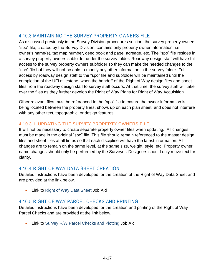# <span id="page-20-0"></span>4.10.3 MAINTAINING THE SURVEY PROPERTY OWNERS FILE

As discussed previously in the Survey Division procedures section, the survey property owners "spo" file, created by the Survey Division, contains only property owner information, i.e., owner's name(s), tax map number, deed book and page, acreage, etc. The "spo" file resides in a survey property owners subfolder under the survey folder. Roadway design staff will have full access to the survey property owners subfolder so they can make the needed changes to the "spo" file but they will not be able to modify any other information in the survey folder. Full access by roadway design staff to the "spo" file and subfolder will be maintained until the completion of the UFI milestone, when the handoff of the Right of Way design files and sheet files from the roadway design staff to survey staff occurs. At that time, the survey staff will take over the files as they further develop the Right of Way Plans for Right of Way Acquisition.

Other relevant files must be referenced to the "spo" file to ensure the owner information is being located between the property lines, shows up on each plan sheet, and does not interfere with any other text, topographic, or design features.

### 4.10.3.1 UPDATING THE SURVEY PROPERTY OWNERS FILE

It will not be necessary to create separate property owner files when updating. All changes must be made in the original "spo" file. This file should remain referenced to the master design files and sheet files at all times so that each discipline will have the latest information. All changes are to remain on the same level, at the same size, weight, style, etc. Property owner name changes should only be performed by the Surveyor. Designers should only move text for clarity.

# <span id="page-20-1"></span>4.10.4 RIGHT OF WAY DATA SHEET CREATION

Detailed instructions have been developed for the creation of the Right of Way Data Sheet and are provided at the link below.

• Link to [Right of Way Data Sheet](https://www.virginiadot.org/business/resources/LocDes/CADDManual/File/RW_Data_Sheet.pdf) Job Aid

# <span id="page-20-2"></span>4.10.5 RIGHT OF WAY PARCEL CHECKS AND PRINTING

Detailed instructions have been developed for the creation and printing of the Right of Way Parcel Checks and are provided at the link below.

• Link to [Survey R/W Parcel Checks and Plotting](https://www.virginiadot.org/business/resources/LocDes/CADDManual/File/Survey_RW_Color_Sheet.pdf) Job Aid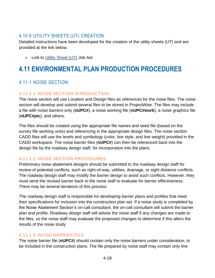# <span id="page-21-0"></span>4.10.6 UTILITY SHEETS (UT) CREATION

Detailed instructions have been developed for the creation of the utility sheets (UT) and are provided at the link below.

• Link to [Utility Sheet \(UT\)](https://www.virginiadot.org/business/resources/LocDes/CADDManual/File/RW_Utility_Sheet.pdf) Job Aid

# <span id="page-21-1"></span>**4.11 ENVIRONMENTAL PLAN PRODUCTION PROCEDURES**

# <span id="page-21-2"></span>4.11.1 NOISE SECTION

### 4.11.1.1 NOISE SECTION INTRODUCTION

The noise section will use Location and Design files as references for the noise files. The noise section will develop and submit several files to be stored in ProjectWise. The files may include a file with noise barriers only (**nUPC#**), a noise working file (**nUPC#work**), a noise graphics file (**nUPC#pic**), and others.

The files should be created using the appropriate file names and seed file (based on the survey file working units) and referencing in the appropriate design files. The noise section CADD files will use the levels and symbology (color, line style, and line weight) provided in the CADD workspace. The noise barrier files (**nUPC#**) can then be referenced back into the design file by the roadway design staff, for incorporation into the plans.

### 4.11.1.2 NOISE SECTION PROCEDURES

Preliminary noise abatement designs should be submitted to the roadway design staff for review of potential conflicts, such as right-of-way, utilities, drainage, or sight distance conflicts. The roadway design staff may modify the barrier design to avoid such conflicts. However, they must send the revised barrier back to the noise staff to evaluate for barrier effectiveness. There may be several iterations of this process.

The roadway design staff is responsible for developing barrier plans and profiles that meet their specifications for inclusion into the construction plan set. If a noise study is completed by the Noise Abatement Section's on-call consultant, the on-call consultant will submit the barrier plan and profile. Roadway design staff will advise the noise staff if any changes are made to the files, so the noise staff may evaluate the proposed changes to determine if this alters the results of the noise study.

### 4.11.1.3 NOISE BARRIER FILE

The noise barrier file (**nUPC#**) should contain only the noise barriers under consideration, to be included in the construction plans. The file prepared by noise staff may contain only line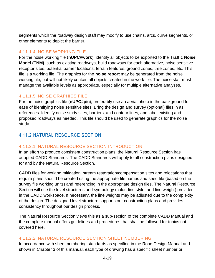segments which the roadway design staff may modify to use chains, arcs, curve segments, or other elements to depict the barrier.

#### 4.11.1.4 NOISE WORKING FILE

For the noise working file (**nUPC#work**), identify all objects to be exported to the **Traffic Noise Model (TNM)**, such as existing roadways, build roadways for each alternative, noise sensitive receptor sites, potential barrier locations, terrain features, ground zones, tree zones, etc. This file is a working file. The graphics for the **noise report** may be generated from the noise working file, but will not likely contain all objects created in the work file. The noise staff must manage the available levels as appropriate, especially for multiple alternative analyses.

#### 4.11.1.5 NOISE GRAPHICS FILE

For the noise graphics file (**nUPC#pic**), preferably use an aerial photo in the background for ease of identifying noise sensitive sites. Bring the design and survey (optional) files in as references. Identify noise study sites, barriers, and contour lines, and label existing and proposed roadways as needed. This file should be used to generate graphics for the noise study.

# <span id="page-22-0"></span>4.11.2 NATURAL RESOURCE SECTION

#### 4.11.2.1 NATURAL RESOURCE SECTION INTRODUCTION

In an effort to produce consistent construction plans, the Natural Resource Section has adopted CADD Standards. The CADD Standards will apply to all construction plans designed for and by the Natural Resource Section.

CADD files for wetland mitigation, stream restoration/compensation sites and relocations that require plans should be created using the appropriate file names and seed file (based on the survey file working units) and referencing in the appropriate design files. The Natural Resource Section will use the level structures and symbology (color, line style, and line weight) provided in the CADD workspace. If necessary, the line weights may be adjusted due to the complexity of the design. The designed level structure supports our construction plans and provides consistency throughout our design process.

The Natural Resource Section views this as a sub-section of the complete CADD Manual and the complete manual offers guidelines and procedures that shall be followed for topics not covered here.

#### 4.11.2.2 NATURAL RESOURCE SECTION SHEET NUMBERING

In accordance with sheet numbering standards as specified in the Road Design Manual and shown in Chapter 3 of this manual, each type of drawing has a specific sheet number or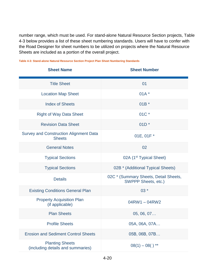number range, which must be used. For stand-alone Natural Resource Section projects, [Table](#page-23-0)  [4-3](#page-23-0) below provides a list of these sheet numbering standards. Users will have to confer with the Road Designer for sheet numbers to be utilized on projects where the Natural Resource Sheets are included as a portion of the overall project.

| <b>Sheet Name</b>                                              | <b>Sheet Number</b>                                          |
|----------------------------------------------------------------|--------------------------------------------------------------|
| <b>Title Sheet</b>                                             | 01                                                           |
| <b>Location Map Sheet</b>                                      | $01A^*$                                                      |
| <b>Index of Sheets</b>                                         | $01B^*$                                                      |
| <b>Right of Way Data Sheet</b>                                 | 01C *                                                        |
| <b>Revision Data Sheet</b>                                     | $01D^*$                                                      |
| <b>Survey and Construction Alignment Data</b><br><b>Sheets</b> | 01E, 01F *                                                   |
| <b>General Notes</b>                                           | 02                                                           |
| <b>Typical Sections</b>                                        | 02A (1 <sup>st</sup> Typical Sheet)                          |
| <b>Typical Sections</b>                                        | 02B * (Additional Typical Sheets)                            |
| <b>Details</b>                                                 | 02C * (Summary Sheets, Detail Sheets,<br>SWPPP Sheets, etc.) |
| <b>Existing Conditions General Plan</b>                        | 03 *                                                         |
| <b>Property Acquisition Plan</b><br>(if applicable)            | $04$ RW1 $- 04$ RW2                                          |
| <b>Plan Sheets</b>                                             | 05, 06, 07                                                   |
| <b>Profile Sheets</b>                                          | 05A, 06A, 07A                                                |
| <b>Erosion and Sediment Control Sheets</b>                     | 05B, 06B, 07B                                                |
| <b>Planting Sheets</b><br>(including details and summaries)    | $08(1) - 08()$ **                                            |

<span id="page-23-0"></span>**Table [4-](#page-4-0)3: Stand-alone Natural Resource Section Project Plan Sheet Numbering Standards**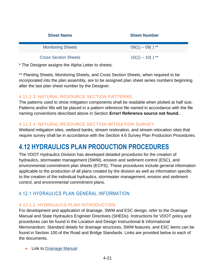| <b>Sheet Name</b>           | <b>Sheet Number</b> |
|-----------------------------|---------------------|
| <b>Monitoring Sheets</b>    | $09(1) - 09()$ **   |
| <b>Cross Section Sheets</b> | $10(1) - 10()$ **   |

\* The Designer assigns the Alpha Letter to sheets.

\*\* Planting Sheets, Monitoring Sheets, and Cross Section Sheets, when required to be incorporated into the plan assembly, are to be assigned plan sheet series numbers beginning after the last plan sheet number by the Designer.

#### 4.11.2.3 NATURAL RESOURCE SECTION PATTERNS

The patterns used to show mitigation components shall be readable when plotted at half size. Patterns and/or fills will be placed in a pattern reference file named in accordance with the file naming conventions described above in Section **Error! Reference source not found.**.

#### 4.11.2.4 NATURAL RESOURCE SECTION MITIGATION SURVEY

Wetland mitigation sites, wetland banks, stream restoration, and stream relocation sites that require survey shall be in accordance with the Section [4.6](#page-13-0) Survey Plan Production Procedures.

# <span id="page-24-0"></span>**4.12 HYDRAULICS PLAN PRODUCTION PROCEDURES**

The VDOT Hydraulics Division has developed detailed procedures for the creation of hydraulics, stormwater management (SWM), erosion and sediment control (ESC), and environmental commitment plan sheets (ECPS). These procedures include general information applicable to the production of all plans created by the division as well as information specific to the creation of the individual hydraulics, stormwater management, erosion and sediment control, and environmental commitment plans.

# <span id="page-24-1"></span>4.12.1 HYDRAULICS PLAN GENERAL INFORMATION

### 4.12.1.1 HYDRAULICS PLAN INTRODUCTION

For development and application of drainage, SWM and ESC design, refer to the Drainage Manual and State Hydraulics Engineer Directives (SHEDs). Instructions for VDOT policy and procedures can be found in the Location and Design Instructional & Informational Memorandum. Standard details for drainage structures, SWM features, and ESC items can be found in Section 100 of the Road and Bridge Standards. Links are provided below to each of the documents.

• Link to [Drainage Manual](http://www.virginiadot.org/business/locdes/hydra-drainage-manual.asp)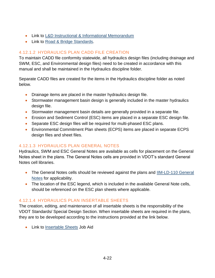- Link to [L&D Instructional & Informational Memorandum](http://www.virginiadot.org/business/locdes/rd-ii-memoranda-index.asp)
- Link to [Road & Bridge Standards.](http://www.virginiadot.org/business/locdes/vdot_road_and_bridge_standards.asp)

#### 4.12.1.2 HYDRAULICS PLAN CADD FILE CREATION

To maintain CADD file conformity statewide, all hydraulics design files (including drainage and SWM, ESC, and Environmental design files) need to be created in accordance with this manual and shall be maintained in the Hydraulics discipline folder.

Separate CADD files are created for the items in the Hydraulics discipline folder as noted below.

- Drainage items are placed in the master hydraulics design file.
- Stormwater management basin design is generally included in the master hydraulics design file.
- Stormwater management basin details are generally provided in a separate file.
- Erosion and Sediment Control (ESC) items are placed in a separate ESC design file.
- Separate ESC design files will be required for multi-phased ESC plans.
- Environmental Commitment Plan sheets (ECPS) items are placed in separate ECPS design files and sheet files.

### 4.12.1.3 HYDRAULICS PLAN GENERAL NOTES

Hydraulics, SWM and ESC General Notes are available as cells for placement on the General Notes sheet in the plans. The General Notes cells are provided in VDOT's standard General Notes cell libraries.

- The General Notes cells should be reviewed against the plans and IIM-LD-110 General [Notes](http://www.virginiadot.org/business/resources/LocDes/IIM/IIM110.pdf) for applicability.
- The location of the ESC legend, which is included in the available General Note cells, should be referenced on the ESC plan sheets where applicable.

#### 4.12.1.4 HYDRAULICS PLAN INSERTABLE SHEETS

The creation, editing, and maintenance of all insertable sheets is the responsibility of the VDOT Standards/ Special Design Section. When insertable sheets are required in the plans, they are to be developed according to the instructions provided at the link below.

• Link to **Insertable Sheets** Job Aid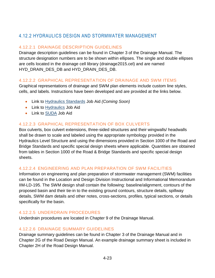# <span id="page-26-0"></span>4.12.2 HYDRAULICS DESIGN AND STORMWATER MANAGEMENT

# 4.12.2.1 DRAINAGE DESCRIPTION GUIDELINES

Drainage description guidelines can be found in Chapter 3 of the Drainage Manual. The structure designation numbers are to be shown within ellipses. The single and double ellipses are cells located in the drainage cell library (drainage2015.cel) and are named HYD\_DRAIN\_DES\_DB and HYD\_DRAIN\_DES\_DB.

#### <span id="page-26-1"></span>4.12.2.2 GRAPHICAL REPRESENTATION OF DRAINAGE AND SWM ITEMS

Graphical representations of drainage and SWM plan elements include custom line styles, cells, and labels. Instructions have been developed and are provided at the links below.

- Link to [Hydraulics Standards](https://www.virginiadot.org/business/resources/LocDes/CADDManual/File/HYD_CADD_Manual.xlsx) Job Aid *(Coming Soon)*
- Link to [Hydraulics](https://www.virginiadot.org/business/resources/LocDes/CADDManual/File/Hydraulics_JobAid.pdf) Job Aid
- Link to [SUDA](https://www.virginiadot.org/business/resources/LocDes/CADDManual/File/SUDA_JobAid.pdf) Job Aid

### 4.12.2.3 GRAPHICAL REPRESENTATION OF BOX CULVERTS

Box culverts, box culvert extensions, three-sided structures and their wingwalls/ headwalls shall be drawn to scale and labeled using the appropriate symbology provided in the Hydraulics Level Structure and using the dimensions provided in Section 1000 of the Road and Bridge Standards and specific special design sheets where applicable. Quantities are obtained from tables in Section 1000 of the Road & Bridge Standards and specific special design sheets.

#### 4.12.2.4 ENGINEERING AND PLAN PREPARATION OF SWM FACILITIES

Information on engineering and plan preparation of stormwater management (SWM) facilities can be found in the Location and Design Division Instructional and Informational Memorandum IIM-LD-195. The SWM design shall contain the following: baseline/alignment, contours of the proposed basin and their tie-in to the existing ground contours, structure details, spillway details, SWM dam details and other notes, cross-sections, profiles, typical sections, or details specifically for the basin.

#### 4.12.2.5 UNDERDRAIN PROCEDURES

Underdrain procedures are located in Chapter 9 of the Drainage Manual.

#### 4.12.2.6 DRAINAGE SUMMARY GUIDELINES

Drainage summary guidelines can be found in Chapter 3 of the Drainage Manual and in Chapter 2G of the Road Design Manual. An example drainage summary sheet is included in Chapter 2H of the Road Design Manual.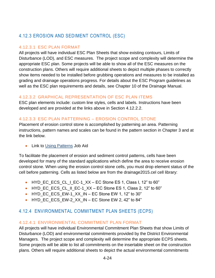# <span id="page-27-0"></span>4.12.3 EROSION AND SEDIMENT CONTROL (ESC)

### 4.12.3.1 ESC PLAN FORMAT

All projects will have individual ESC Plan Sheets that show existing contours, Limits of Disturbance (LOD), and ESC measures. The project scope and complexity will determine the appropriate ESC plan. Some projects will be able to show all of the ESC measures on the construction plans. Others will require additional sheets to depict multiple phases to correctly show items needed to be installed before grubbing operations and measures to be installed as grading and drainage operations progress. For details about the ESC Program guidelines as well as the ESC plan requirements and details, see Chapter 10 of the Drainage Manual.

### 4.12.3.2 GRAPHICAL REPRESENTATION OF ESC PLAN ITEMS

ESC plan elements include: custom line styles, cells and labels. Instructions have been developed and are provided at the links above in Section [4.12.2.2.](#page-26-1)

### 4.12.3.3 ESC PLAN PATTERNING – EROSION CONTROL STONE

Placement of erosion control stone is accomplished by patterning an area. Patterning instructions, pattern names and scales can be found in the pattern section in Chapter 3 and at the link below.

• Link to [Using Patterns](https://www.virginiadot.org/business/resources/LocDes/CADDManual/File/Patterning.pdf) Job Aid

To facilitate the placement of erosion and sediment control patterns, cells have been developed for many of the standard applications which define the area to receive erosion control stone. When using the erosion control stone cells, you must drop element status of the cell before patterning. Cells as listed below are from the drainage2015.cel cell library:

- HYD EC ECS CL I EC-1  $XX EC$  Stone ES 1, Class I, 12" to 60"
- HYD\_EC\_ECS\_CL\_II\_EC-1\_XX EC Stone ES 1, Class 2, 12" to 60"
- $\bullet$  HYD\_EC\_ECS\_EW-1\_XX\_IN EC Stone EW 1, 12" to 30"
- <span id="page-27-1"></span> $\bullet$  HYD\_EC\_ECS\_EW-2\_XX\_IN – EC Stone EW 2, 42" to 84"

# 4.12.4 ENVIRONMENTAL COMMITMENT PLAN SHEETS (ECPS)

### 4.12.4.1 ENVIRONMENTAL COMMITMENT PLAN FORMAT

All projects will have individual Environmental Commitment Plan Sheets that show Limits of Disturbance (LOD) and environmental commitments provided by the District Environmental Managers. The project scope and complexity will determine the appropriate ECPS sheets. Some projects will be able to list all commitments on the insertable sheet on the construction plans. Others will require additional sheets to depict the actual environmental commitments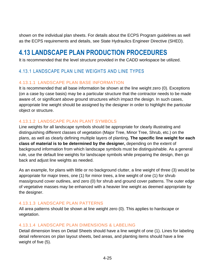shown on the individual plan sheets. For details about the ECPS Program guidelines as well as the ECPS requirements and details, see State Hydraulics Engineer Directive (SHED).

# <span id="page-28-0"></span>**4.13 LANDSCAPE PLAN PRODUCTION PROCEDURES**

It is recommended that the level structure provided in the CADD workspace be utilized.

# <span id="page-28-1"></span>4.13.1 LANDSCAPE PLAN LINE WEIGHTS AND LINE TYPES

### 4.13.1.1 LANDSCAPE PLAN BASE INFORMATION

It is recommended that all base information be shown at the line weight zero (0). Exceptions (on a case by case basis) may be a particular structure that the contractor needs to be made aware of, or significant above ground structures which impact the design. In such cases, appropriate line weight should be assigned by the designer in order to highlight the particular object or structure.

#### 4.13.1.2 LANDSCAPE PLAN PLANT SYMBOLS

Line weights for all landscape symbols should be appropriate for clearly illustrating and distinguishing different classes of vegetation (Major Tree, Minor Tree, Shrub, etc.) on the plans, as well as clearly defining multiple layers of planting**. The specific line weight for each class of material is to be determined by the designer,** depending on the extent of background information from which landscape symbols must be distinguishable. As a general rule, use the default line weights for landscape symbols while preparing the design, then go back and adjust line weights as needed.

As an example, for plans with little or no background clutter, a line weight of three (3) would be appropriate for major trees, one (1) for minor trees, a line weight of one (1) for shrub mass/ground cover outlines, and zero (0) for shrub and ground cover patterns. The outer edge of vegetative masses may be enhanced with a heavier line weight as deemed appropriate by the designer.

#### 4.13.1.3 LANDSCAPE PLAN PATTERNS

All area patterns should be shown at line weight zero (0). This applies to hardscape or vegetation.

#### 4.13.1.4 LANDSCAPE PLAN DIMENSIONS & LABELING

Detail dimension lines on Detail Sheets should have a line weight of one (1). Lines for labeling detail references on plan layout sheets, bed areas, and planting items should have a line weight of five (5).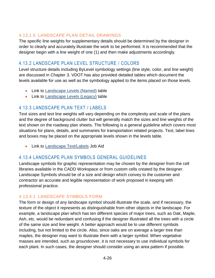#### 4.13.1.5 LANDSCAPE PLAN DETAIL DRAWINGS

The specific line weights for supplementary details should be determined by the designer in order to clearly and accurately illustrate the work to be performed. It is recommended that the designer begin with a line weight of one (1) and then make adjustments accordingly.

# <span id="page-29-0"></span>4.13.2 LANDSCAPE PLAN LEVEL STRUCTURE / COLORS

Level structure details including ByLevel symbology settings (line style, color, and line weight) are discussed in Chapter 3. VDOT has also provided detailed tables which document the levels available for use as well as the symbology applied to the items placed on those levels.

- Link to [Landscape Levels \(Named\)](https://www.virginiadot.org/business/resources/LocDes/CADDManual/File/MicroStation_Levels.xlsx) table
- Link to [Landscape Levels \(Legacy\)](https://www.virginiadot.org/business/resources/LocDes/CADDManual/File/Landscape_Levels_and_Colors.pdf) table

# <span id="page-29-1"></span>4.13.3 LANDSCAPE PLAN TEXT / LABELS

Text sizes and text line weights will vary depending on the complexity and scale of the plans and the degree of background clutter but will generally match the sizes and line weights of the text shown on the roadway plan sheets. The following is a general guideline which covers most situations for plans, details, and summaries for transportation related projects. Text, label lines and boxes may be placed on the appropriate levels shown in the levels table.

• Link to [Landscape Text/Labels](https://www.virginiadot.org/business/resources/LocDes/CADDManual/File/Landscape_Text_and_Labels.pdf) Job Aid

# <span id="page-29-2"></span>4.13.4 LANDSCAPE PLAN SYMBOLS GENERAL GUIDELINES

Landscape symbols for graphic representation may be chosen by the designer from the cell libraries available in the CADD Workspace or from custom cells created by the designer. Landscape Symbols should be of a size and design which convey to the customer and contractor an accurate and legible representation of work proposed in keeping with professional practice.

#### 4.13.4.1 LANDSCAPE SYMBOLS FORM

The form or design of any landscape symbol should illustrate the scale, and if necessary, the texture of the object it represents as distinguishable from other objects in the landscape. For example, a landscape plan which has ten different species of major trees, such as Oak, Maple, Ash, etc. would be redundant and confusing if the designer illustrated all the trees with a circle of the same size and line weight. A better approach would be to use different symbols including, but not limited to the circle. Also, since oaks are on average a larger tree than maples, the designer may want to illustrate them with a larger symbol. When vegetative masses are intended, such as groundcover, it is not necessary to use individual symbols for each plant. In such cases, the designer should consider using an area pattern if possible.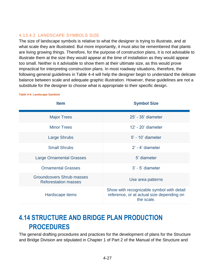#### 4.13.4.2 LANDSCAPE SYMBOLS SIZE

The size of landscape symbols is relative to what the designer is trying to illustrate, and at what scale they are illustrated. But more importantly, it must also be remembered that plants are living growing things. Therefore, for the purpose of construction plans, it is not advisable to illustrate them at the size they would appear at the time of installation as they would appear too small. Neither is it advisable to show them at their ultimate size, as this would prove impractical for interpreting construction plans. In most roadway situations, therefore, the following general guidelines in [Table 4-4](#page-30-1) will help the designer begin to understand the delicate balance between scale and adequate graphic illustration. However, these guidelines are not a substitute for the designer to choose what is appropriate to their specific design.

| <b>Item</b>                                              | <b>Symbol Size</b>                                                                                   |
|----------------------------------------------------------|------------------------------------------------------------------------------------------------------|
| <b>Major Trees</b>                                       | 25' - 35' diameter                                                                                   |
| <b>Minor Trees</b>                                       | 12' - 20' diameter                                                                                   |
| Large Shrubs                                             | 5' - 10' diameter                                                                                    |
| <b>Small Shrubs</b>                                      | $2'$ - 4' diameter                                                                                   |
| <b>Large Ornamental Grasses</b>                          | 5' diameter                                                                                          |
| <b>Ornamental Grasses</b>                                | $3'$ - $5'$ diameter                                                                                 |
| Groundcovers Shrub masses<br><b>Reforestation masses</b> | Use area patterns                                                                                    |
| Hardscape items                                          | Show with recognizable symbol with detail<br>reference, or at actual size depending on<br>the scale. |

<span id="page-30-1"></span>**Table [4-](#page-4-0)4: Landscape Symbols**

# <span id="page-30-0"></span>**4.14 STRUCTURE AND BRIDGE PLAN PRODUCTION PROCEDURES**

The general drafting procedures and practices for the development of plans for the Structure and Bridge Division are stipulated in Chapter 1 of Part 2 of the Manual of the Structure and